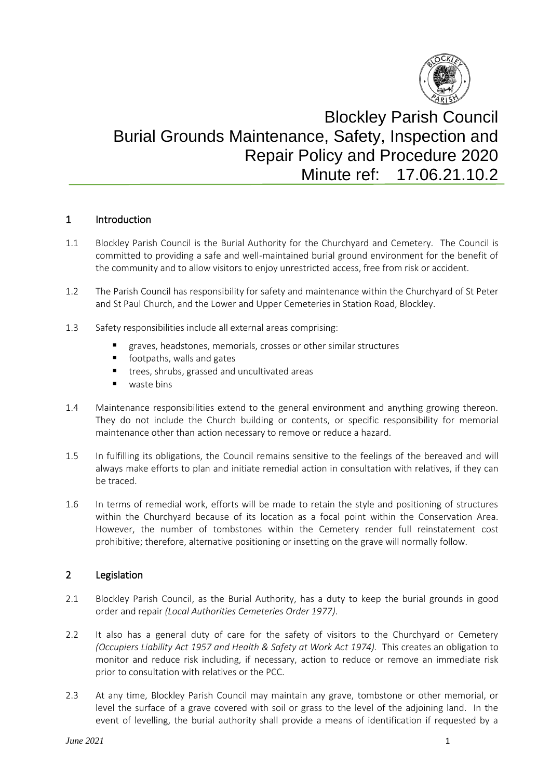

# Blockley Parish Council Burial Grounds Maintenance, Safety, Inspection and Repair Policy and Procedure 2020 Minute ref: 17.06.21.10.2

# 1 Introduction

- 1.1 Blockley Parish Council is the Burial Authority for the Churchyard and Cemetery. The Council is committed to providing a safe and well-maintained burial ground environment for the benefit of the community and to allow visitors to enjoy unrestricted access, free from risk or accident.
- 1.2 The Parish Council has responsibility for safety and maintenance within the Churchyard of St Peter and St Paul Church, and the Lower and Upper Cemeteries in Station Road, Blockley.
- 1.3 Safety responsibilities include all external areas comprising:
	- graves, headstones, memorials, crosses or other similar structures
	- footpaths, walls and gates
	- trees, shrubs, grassed and uncultivated areas
	- waste bins
- 1.4 Maintenance responsibilities extend to the general environment and anything growing thereon. They do not include the Church building or contents, or specific responsibility for memorial maintenance other than action necessary to remove or reduce a hazard.
- 1.5 In fulfilling its obligations, the Council remains sensitive to the feelings of the bereaved and will always make efforts to plan and initiate remedial action in consultation with relatives, if they can be traced.
- 1.6 In terms of remedial work, efforts will be made to retain the style and positioning of structures within the Churchyard because of its location as a focal point within the Conservation Area. However, the number of tombstones within the Cemetery render full reinstatement cost prohibitive; therefore, alternative positioning or insetting on the grave will normally follow.

## 2 Legislation

- 2.1 Blockley Parish Council, as the Burial Authority, has a duty to keep the burial grounds in good order and repair *(Local Authorities Cemeteries Order 1977)*.
- 2.2 It also has a general duty of care for the safety of visitors to the Churchyard or Cemetery *(Occupiers Liability Act 1957 and Health & Safety at Work Act 1974).* This creates an obligation to monitor and reduce risk including, if necessary, action to reduce or remove an immediate risk prior to consultation with relatives or the PCC.
- 2.3 At any time, Blockley Parish Council may maintain any grave, tombstone or other memorial, or level the surface of a grave covered with soil or grass to the level of the adjoining land. In the event of levelling, the burial authority shall provide a means of identification if requested by a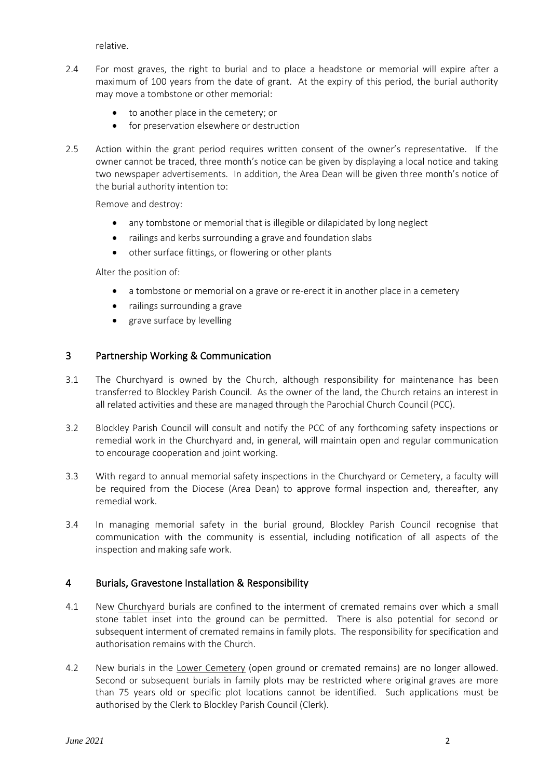relative.

- 2.4 For most graves, the right to burial and to place a headstone or memorial will expire after a maximum of 100 years from the date of grant. At the expiry of this period, the burial authority may move a tombstone or other memorial:
	- to another place in the cemetery; or
	- for preservation elsewhere or destruction
- 2.5 Action within the grant period requires written consent of the owner's representative. If the owner cannot be traced, three month's notice can be given by displaying a local notice and taking two newspaper advertisements. In addition, the Area Dean will be given three month's notice of the burial authority intention to:

Remove and destroy:

- any tombstone or memorial that is illegible or dilapidated by long neglect
- railings and kerbs surrounding a grave and foundation slabs
- other surface fittings, or flowering or other plants

Alter the position of:

- a tombstone or memorial on a grave or re-erect it in another place in a cemetery
- railings surrounding a grave
- grave surface by levelling

# 3 Partnership Working & Communication

- 3.1 The Churchyard is owned by the Church, although responsibility for maintenance has been transferred to Blockley Parish Council. As the owner of the land, the Church retains an interest in all related activities and these are managed through the Parochial Church Council (PCC).
- 3.2 Blockley Parish Council will consult and notify the PCC of any forthcoming safety inspections or remedial work in the Churchyard and, in general, will maintain open and regular communication to encourage cooperation and joint working.
- 3.3 With regard to annual memorial safety inspections in the Churchyard or Cemetery, a faculty will be required from the Diocese (Area Dean) to approve formal inspection and, thereafter, any remedial work.
- 3.4 In managing memorial safety in the burial ground, Blockley Parish Council recognise that communication with the community is essential, including notification of all aspects of the inspection and making safe work.

# 4 Burials, Gravestone Installation & Responsibility

- 4.1 New Churchyard burials are confined to the interment of cremated remains over which a small stone tablet inset into the ground can be permitted. There is also potential for second or subsequent interment of cremated remains in family plots. The responsibility for specification and authorisation remains with the Church.
- 4.2 New burials in the Lower Cemetery (open ground or cremated remains) are no longer allowed. Second or subsequent burials in family plots may be restricted where original graves are more than 75 years old or specific plot locations cannot be identified. Such applications must be authorised by the Clerk to Blockley Parish Council (Clerk).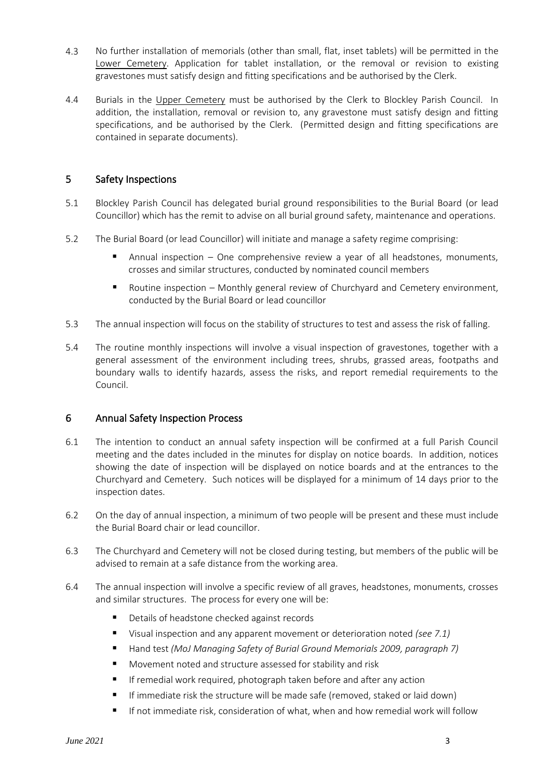- 4.3 No further installation of memorials (other than small, flat, inset tablets) will be permitted in the Lower Cemetery. Application for tablet installation, or the removal or revision to existing gravestones must satisfy design and fitting specifications and be authorised by the Clerk.
- 4.4 Burials in the Upper Cemetery must be authorised by the Clerk to Blockley Parish Council. In addition, the installation, removal or revision to, any gravestone must satisfy design and fitting specifications, and be authorised by the Clerk. (Permitted design and fitting specifications are contained in separate documents).

# 5 Safety Inspections

- 5.1 Blockley Parish Council has delegated burial ground responsibilities to the Burial Board (or lead Councillor) which has the remit to advise on all burial ground safety, maintenance and operations.
- 5.2 The Burial Board (or lead Councillor) will initiate and manage a safety regime comprising:
	- Annual inspection One comprehensive review a year of all headstones, monuments, crosses and similar structures, conducted by nominated council members
	- Routine inspection Monthly general review of Churchyard and Cemetery environment, conducted by the Burial Board or lead councillor
- 5.3 The annual inspection will focus on the stability of structures to test and assess the risk of falling.
- 5.4 The routine monthly inspections will involve a visual inspection of gravestones, together with a general assessment of the environment including trees, shrubs, grassed areas, footpaths and boundary walls to identify hazards, assess the risks, and report remedial requirements to the Council.

## 6 Annual Safety Inspection Process

- 6.1 The intention to conduct an annual safety inspection will be confirmed at a full Parish Council meeting and the dates included in the minutes for display on notice boards. In addition, notices showing the date of inspection will be displayed on notice boards and at the entrances to the Churchyard and Cemetery. Such notices will be displayed for a minimum of 14 days prior to the inspection dates.
- 6.2 On the day of annual inspection, a minimum of two people will be present and these must include the Burial Board chair or lead councillor.
- 6.3 The Churchyard and Cemetery will not be closed during testing, but members of the public will be advised to remain at a safe distance from the working area.
- 6.4 The annual inspection will involve a specific review of all graves, headstones, monuments, crosses and similar structures. The process for every one will be:
	- Details of headstone checked against records
	- Visual inspection and any apparent movement or deterioration noted *(see* 7.1)
	- Hand test *(MoJ Managing Safety of Burial Ground Memorials 2009, paragraph 7)*
	- Movement noted and structure assessed for stability and risk
	- If remedial work required, photograph taken before and after any action
	- If immediate risk the structure will be made safe (removed, staked or laid down)
	- If not immediate risk, consideration of what, when and how remedial work will follow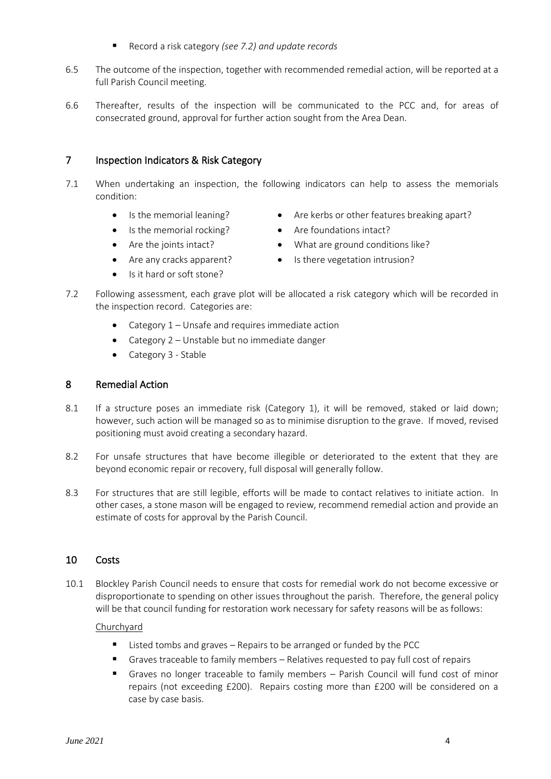- Record a risk category *(see 7.2) and update records*
- 6.5 The outcome of the inspection, together with recommended remedial action, will be reported at a full Parish Council meeting.
- 6.6 Thereafter, results of the inspection will be communicated to the PCC and, for areas of consecrated ground, approval for further action sought from the Area Dean.

#### 7 Inspection Indicators & Risk Category

- 7.1 When undertaking an inspection, the following indicators can help to assess the memorials condition:
	- Is the memorial leaning?
	- Is the memorial rocking?
	- Are the joints intact?
	- Are any cracks apparent?
	- Is it hard or soft stone?
- Are kerbs or other features breaking apart?
- Are foundations intact?
- What are ground conditions like?
- Is there vegetation intrusion?
- 7.2 Following assessment, each grave plot will be allocated a risk category which will be recorded in the inspection record. Categories are:
	- Category 1 Unsafe and requires immediate action
	- Category 2 Unstable but no immediate danger
	- Category 3 Stable

## 8 Remedial Action

- 8.1 If a structure poses an immediate risk (Category 1), it will be removed, staked or laid down; however, such action will be managed so as to minimise disruption to the grave. If moved, revised positioning must avoid creating a secondary hazard.
- 8.2 For unsafe structures that have become illegible or deteriorated to the extent that they are beyond economic repair or recovery, full disposal will generally follow.
- 8.3 For structures that are still legible, efforts will be made to contact relatives to initiate action. In other cases, a stone mason will be engaged to review, recommend remedial action and provide an estimate of costs for approval by the Parish Council.

#### 10 Costs

10.1 Blockley Parish Council needs to ensure that costs for remedial work do not become excessive or disproportionate to spending on other issues throughout the parish. Therefore, the general policy will be that council funding for restoration work necessary for safety reasons will be as follows:

#### Churchyard

- Listed tombs and graves Repairs to be arranged or funded by the PCC
- **E** Graves traceable to family members Relatives requested to pay full cost of repairs
- Graves no longer traceable to family members Parish Council will fund cost of minor repairs (not exceeding £200). Repairs costing more than £200 will be considered on a case by case basis.